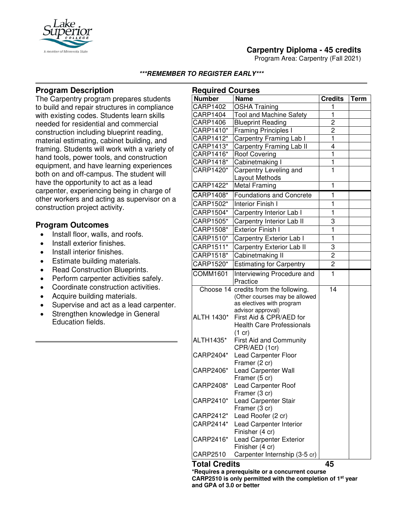

Program Area: Carpentry (Fall 2021)



## **Program Description**

The Carpentry program prepares students to build and repair structures in compliance with existing codes. Students learn skills needed for residential and commercial construction including blueprint reading, material estimating, cabinet building, and framing. Students will work with a variety of hand tools, power tools, and construction equipment, and have learning experiences both on and off-campus. The student will have the opportunity to act as a lead carpenter, experiencing being in charge of other workers and acting as supervisor on a construction project activity.

#### **Program Outcomes**

- Install floor, walls, and roofs.
- Install exterior finishes.
- Install interior finishes.
- Estimate building materials.
- Read Construction Blueprints.
- Perform carpenter activities safely.
- Coordinate construction activities.
- Acquire building materials.
- Supervise and act as a lead carpenter.
- Strengthen knowledge in General Education fields.

| <b>Required Courses</b> |                                                    |                         |             |
|-------------------------|----------------------------------------------------|-------------------------|-------------|
| <b>Number</b>           | <b>Name</b>                                        | <b>Credits</b>          | <b>Term</b> |
| <b>CARP1402</b>         | <b>OSHA Training</b>                               | 1                       |             |
| CARP1404                | <b>Tool and Machine Safety</b>                     | $\overline{\mathbf{1}}$ |             |
| <b>CARP1406</b>         | <b>Blueprint Reading</b>                           | $\overline{2}$          |             |
| CARP1410*               | <b>Framing Principles I</b>                        | $\overline{c}$          |             |
| CARP1412*               | Carpentry Framing Lab I                            | $\overline{\mathbf{1}}$ |             |
| CARP1413*               | Carpentry Framing Lab II                           | $\overline{4}$          |             |
| CARP1416*               | <b>Roof Covering</b>                               | $\overline{\mathbf{1}}$ |             |
| CARP1418*               | Cabinetmaking I                                    | $\overline{\mathbf{1}}$ |             |
| CARP1420*               | Carpentry Leveling and                             | $\overline{1}$          |             |
|                         | Layout Methods                                     |                         |             |
| CARP1422*               | <b>Metal Framing</b>                               | 1                       |             |
| CARP1408*               | <b>Foundations and Concrete</b>                    | 1                       |             |
| CARP1502*               | <b>Interior Finish I</b>                           | 1                       |             |
| CARP1504*               | Carpentry Interior Lab I                           | $\mathbf{1}$            |             |
| CARP1505*               | Carpentry Interior Lab II                          | 3                       |             |
| CARP1508*               | <b>Exterior Finish I</b>                           | 1                       |             |
| CARP1510*               | Carpentry Exterior Lab I                           | $\overline{1}$          |             |
| CARP1511*               | Carpentry Exterior Lab II                          | 3                       |             |
| CARP1518*               | Cabinetmaking II                                   | 2                       |             |
| CARP1520*               | <b>Estimating for Carpentry</b>                    | $\overline{c}$          |             |
| <b>COMM1601</b>         | Interviewing Procedure and                         | $\mathbf{1}$            |             |
|                         | Practice                                           |                         |             |
|                         | Choose 14 credits from the following.              | 14                      |             |
|                         | (Other courses may be allowed                      |                         |             |
|                         | as electives with program                          |                         |             |
|                         | advisor approval)<br>First Aid & CPR/AED for       |                         |             |
| ALTH 1430*              | <b>Health Care Professionals</b>                   |                         |             |
|                         |                                                    |                         |             |
| ALTH1435*               | $(1 \text{ cr})$<br><b>First Aid and Community</b> |                         |             |
|                         | CPR/AED (1cr)                                      |                         |             |
| CARP2404*               | <b>Lead Carpenter Floor</b>                        |                         |             |
|                         | Framer (2 cr)                                      |                         |             |
| CARP2406*               | Lead Carpenter Wall                                |                         |             |
|                         | Framer (5 cr)                                      |                         |             |
| CARP2408*               | Lead Carpenter Roof                                |                         |             |
|                         | Framer (3 cr)                                      |                         |             |
| CARP2410*               | Lead Carpenter Stair                               |                         |             |
|                         | Framer (3 cr)                                      |                         |             |
| CARP2412*               | Lead Roofer (2 cr)                                 |                         |             |
| CARP2414*               | Lead Carpenter Interior                            |                         |             |
|                         | Finisher (4 cr)                                    |                         |             |
| CARP2416*               | <b>Lead Carpenter Exterior</b><br>Finisher (4 cr)  |                         |             |
| CARP2510                | Carpenter Internship (3-5 cr)                      |                         |             |
| <b>Total Credits</b>    |                                                    | 45                      |             |

**\*Requires a prerequisite or a concurrent course CARP2510 is only permitted with the completion of 1st year and GPA of 3.0 or better**

# A member of Minnesota Sta